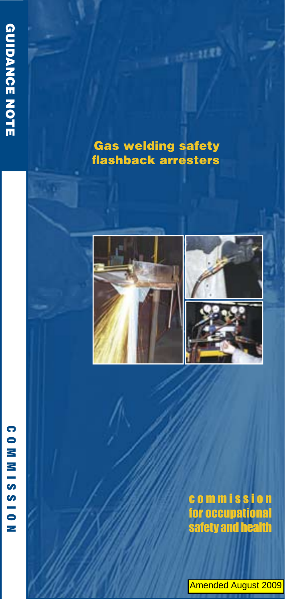# **Gas welding safety flashback arresters**

a presentat







# **commission** for occupational<br>safety and health

Amended August 2009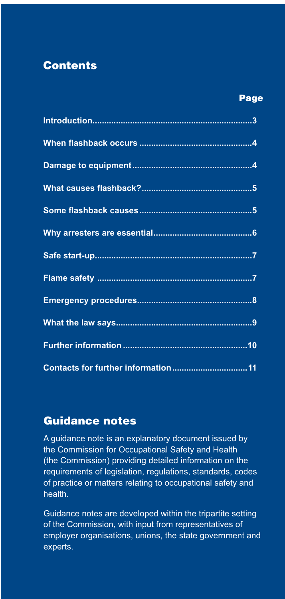## **Contents**

#### **Page**

#### **Guidance notes**

A guidance note is an explanatory document issued by the Commission for Occupational Safety and Health (the Commission) providing detailed information on the requirements of legislation, regulations, standards, codes of practice or matters relating to occupational safety and health

Guidance notes are developed within the tripartite setting of the Commission, with input from representatives of employer organisations, unions, the state government and experts.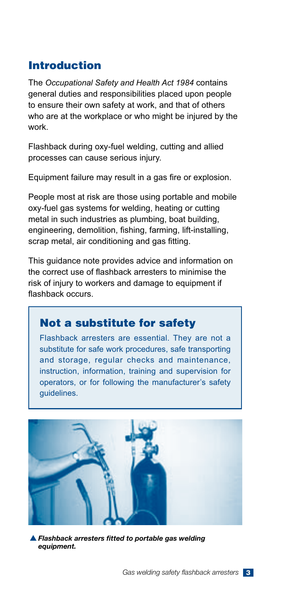## **Introduction**

The *Occupational Safety and Health Act 1984* contains general duties and responsibilities placed upon people to ensure their own safety at work, and that of others who are at the workplace or who might be injured by the work.

Flashback during oxy-fuel welding, cutting and allied processes can cause serious injury.

Equipment failure may result in a gas fire or explosion.

People most at risk are those using portable and mobile oxy-fuel gas systems for welding, heating or cutting metal in such industries as plumbing, boat building, engineering, demolition, fishing, farming, lift-installing, scrap metal, air conditioning and gas fitting.

This guidance note provides advice and information on the correct use of flashback arresters to minimise the risk of injury to workers and damage to equipment if flashback occurs

#### **Not a substitute for safety**

Flashback arresters are essential. They are not a substitute for safe work procedures, safe transporting and storage, regular checks and maintenance, instruction, information, training and supervision for operators, or for following the manufacturer's safety guidelines.



**A** Flashback arresters fitted to portable gas welding *equipment.*

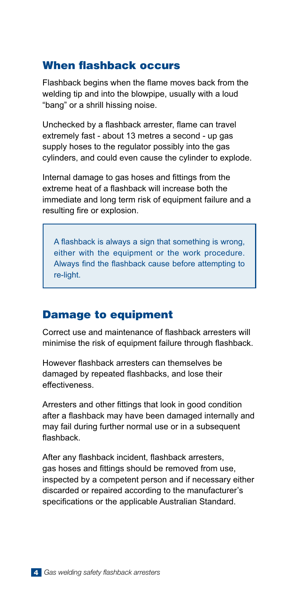## When flashback occurs

Flashback begins when the flame moves back from the welding tip and into the blowpipe, usually with a loud "bang" or a shrill hissing noise.

Unchecked by a flashback arrester, flame can travel extremely fast - about 13 metres a second - up gas supply hoses to the regulator possibly into the gas cylinders, and could even cause the cylinder to explode.

Internal damage to gas hoses and fittings from the extreme heat of a flashback will increase both the immediate and long term risk of equipment failure and a resulting fire or explosion.

A flashback is always a sign that something is wrong. either with the equipment or the work procedure. Alwavs find the flashback cause before attempting to re-light.

#### **Damage to equipment**

Correct use and maintenance of flashback arresters will minimise the risk of equipment failure through flashback.

However flashback arresters can themselves be damaged by repeated flashbacks, and lose their effectiveness.

Arresters and other fittings that look in good condition after a flashback may have been damaged internally and may fail during further normal use or in a subsequent flashback.

After any flashback incident, flashback arresters, gas hoses and fittings should be removed from use. inspected by a competent person and if necessary either discarded or repaired according to the manufacturer's specifications or the applicable Australian Standard.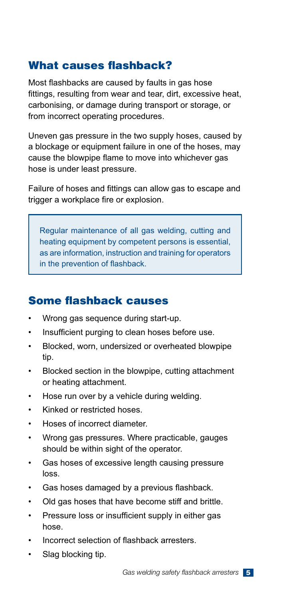## What causes flashback?

Most flashbacks are caused by faults in gas hose fittings, resulting from wear and tear, dirt, excessive heat, carbonising, or damage during transport or storage, or from incorrect operating procedures.

Uneven gas pressure in the two supply hoses, caused by a blockage or equipment failure in one of the hoses, may cause the blowpipe flame to move into whichever gas hose is under least pressure.

Failure of hoses and fittings can allow gas to escape and trigger a workplace fire or explosion.

Regular maintenance of all gas welding, cutting and heating equipment by competent persons is essential, as are information, instruction and training for operators in the prevention of flashback.

## Some flashback causes

- Wrong gas sequence during start-up.
- Insufficient purging to clean hoses before use.
- Blocked, worn, undersized or overheated blowpipe tip.
- Blocked section in the blowpipe, cutting attachment or heating attachment.
- Hose run over by a vehicle during welding.
- Kinked or restricted hoses.
- Hoses of incorrect diameter.
- Wrong gas pressures. Where practicable, gauges should be within sight of the operator.
- Gas hoses of excessive length causing pressure loss.
- Gas hoses damaged by a previous flashback.
- Old gas hoses that have become stiff and brittle.
- Pressure loss or insufficient supply in either gas hose.
- Incorrect selection of flashback arresters.
- Slag blocking tip.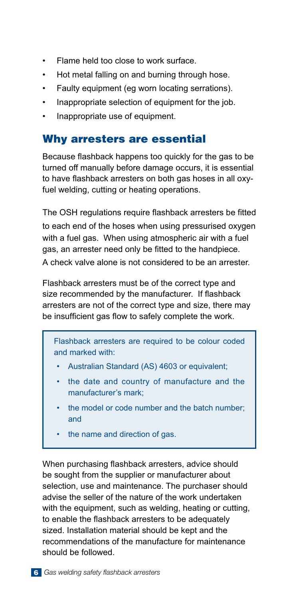- Flame held too close to work surface.
- Hot metal falling on and burning through hose.
- Faulty equipment (eq worn locating serrations).
- Inappropriate selection of equipment for the job.
- Inappropriate use of equipment.

## Why arresters are essential

Because flashback happens too quickly for the gas to be turned off manually before damage occurs, it is essential to have flashback arresters on both gas hoses in all oxyfuel welding, cutting or heating operations.

The OSH regulations reguire flashback arresters be fitted to each end of the hoses when using pressurised oxygen with a fuel gas. When using atmospheric air with a fuel gas, an arrester need only be fitted to the handpiece. A check valve alone is not considered to be an arrester.

Flashback arresters must be of the correct type and size recommended by the manufacturer. If flashback arresters are not of the correct type and size, there may be insufficient gas flow to safely complete the work.

Flashback arresters are required to be colour coded and marked with:

- Australian Standard (AS) 4603 or equivalent;
- the date and country of manufacture and the manufacturer's mark;
- the model or code number and the batch number: and
- the name and direction of gas.

When purchasing flashback arresters, advice should be sought from the supplier or manufacturer about selection, use and maintenance. The purchaser should advise the seller of the nature of the work undertaken with the equipment, such as welding, heating or cutting, to enable the flashback arresters to be adequately sized. Installation material should be kept and the recommendations of the manufacture for maintenance should be followed.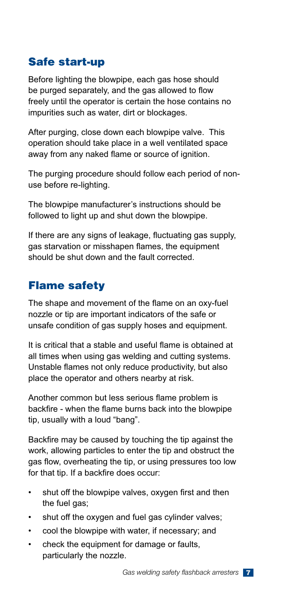# **Safe start-up**

Before lighting the blowpipe, each gas hose should be purged separately, and the gas allowed to flow freely until the operator is certain the hose contains no impurities such as water, dirt or blockages.

After purging, close down each blowpipe valve. This operation should take place in a well ventilated space away from any naked flame or source of ignition.

The purging procedure should follow each period of nonuse before re-lighting.

The blowpipe manufacturer's instructions should be followed to light up and shut down the blowpipe.

If there are any signs of leakage, fluctuating gas supply, gas starvation or misshapen flames, the equipment should be shut down and the fault corrected.

## **Flame safety**

The shape and movement of the flame on an oxy-fuel nozzle or tip are important indicators of the safe or unsafe condition of gas supply hoses and equipment.

It is critical that a stable and useful flame is obtained at all times when using gas welding and cutting systems. Unstable flames not only reduce productivity, but also place the operator and others nearby at risk.

Another common but less serious flame problem is backfire - when the flame burns back into the blowpipe tip, usually with a loud "bang".

Backfire may be caused by touching the tip against the work, allowing particles to enter the tip and obstruct the gas flow, overheating the tip, or using pressures too low for that tip. If a backfire does occur:

- shut off the blowpipe valves, oxygen first and then the fuel gas;
- shut off the oxygen and fuel gas cylinder valves;
- cool the blowpipe with water, if necessary; and
- check the equipment for damage or faults, particularly the nozzle.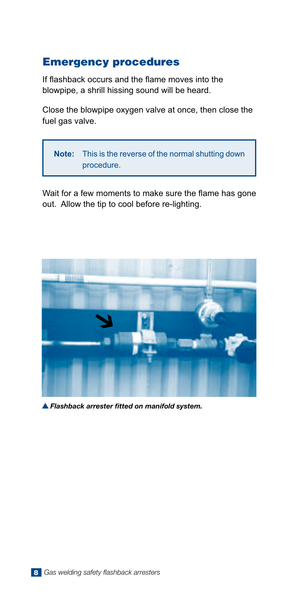### **Emergency procedures**

If flashback occurs and the flame moves into the blowpipe, a shrill hissing sound will be heard.

Close the blowpipe oxygen valve at once, then close the fuel gas valve.



Wait for a few moments to make sure the flame has gone out. Allow the tip to cool before re-lighting.



S *Flashback arrester fitted on manifold system.*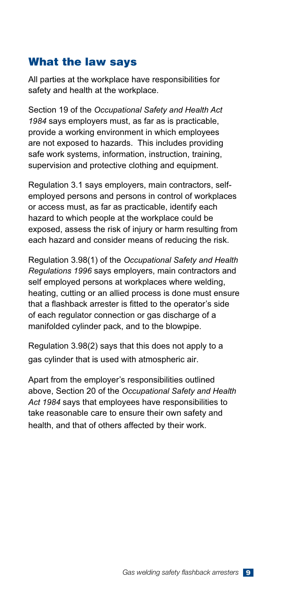## **What the law says**

All parties at the workplace have responsibilities for safety and health at the workplace.

Section 19 of the *Occupational Safety and Health Act 1984* says employers must, as far as is practicable, provide a working environment in which employees are not exposed to hazards. This includes providing safe work systems, information, instruction, training, supervision and protective clothing and equipment.

Regulation 3.1 says employers, main contractors, selfemployed persons and persons in control of workplaces or access must, as far as practicable, identify each hazard to which people at the workplace could be exposed, assess the risk of injury or harm resulting from each hazard and consider means of reducing the risk.

Regulation 3.98(1) of the *Occupational Safety and Health Regulations 1996* says employers, main contractors and self employed persons at workplaces where welding, heating, cutting or an allied process is done must ensure that a flashback arrester is fitted to the operator's side of each regulator connection or gas discharge of a manifolded cylinder pack, and to the blowpipe.

Regulation 3.98(2) says that this does not apply to a gas cylinder that is used with atmospheric air.

Apart from the employer's responsibilities outlined above, Section 20 of the *Occupational Safety and Health Act 1984* says that employees have responsibilities to take reasonable care to ensure their own safety and health, and that of others affected by their work.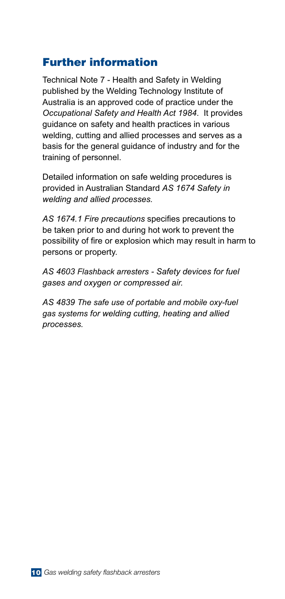## **Eurther information**

Technical Note 7 - Health and Safety in Welding published by the Welding Technology Institute of Australia is an approved code of practice under the *Occupational Safety and Health Act 1984*. It provides guidance on safety and health practices in various welding, cutting and allied processes and serves as a basis for the general guidance of industry and for the training of personnel.

Detailed information on safe welding procedures is provided in Australian Standard *AS 1674 Safety in welding and allied processes.*

AS 1674.1 Fire precautions specifies precautions to be taken prior to and during hot work to prevent the possibility of fire or explosion which may result in harm to persons or property.

*AS 4603 Flashback arresters - Safety devices for fuel gases and oxygen or compressed air.*

*AS 4839 The safe use of portable and mobile oxy-fuel gas systems for welding cutting, heating and allied processes.*